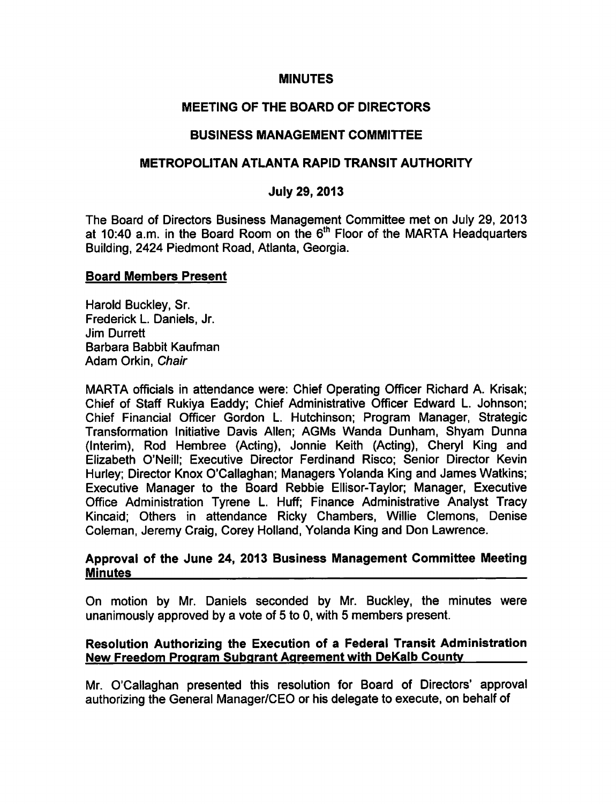#### MINUTES

# MEETING OF THE BOARD OF DIRECTORS

## BUSINESS MANAGEMENT COMMITTEE

### METROPOLITAN ATLANTA RAPID TRANSIT AUTHORITY

## July 29, 2013

The Board of Directors Business Management Committee met on July 29, 2013 at 10:40 a.m. in the Board Room on the  $6<sup>th</sup>$  Floor of the MARTA Headquarters Building, 2424 Piedmont Road, Atlanta, Georgia.

### Board Members Present

Harold Buckley, Sr. Frederick L. Daniels, Jr. Jim Durrett Barbara Babbit Kaufman Adam Orkin, Chair

MARTA officials in attendance were: Chief Operating Officer Richard A. Krisak; Chief of Staff Rukiya Eaddy; Chief Administrative Officer Edward L. Johnson; Chief Financial Officer Gordon L. Hutchinson; Program Manager, Strategic Transformation Initiative Davis Allen; AGMs Wanda Dunham, Shyam Dunna (Interim), Rod Hembree (Acting), Jonnie Keith (Acting), Cheryl King and Elizabeth O'Neill; Executive Director Ferdinand Risco; Senior Director Kevin Hurley; Director Knox O'Callaghan; Managers Yolanda King and James Watkins; Executive Manager to the Board Rebbie Ellisor-Taylor; Manager, Executive Office Administration Tyrene L. Huff; Finance Administrative Analyst Tracy Kincaid: Others in attendance Ricky Chambers, Willie Clemons, Denise Coleman, Jeremy Craig, Corey Holland, Yolanda King and Don Lawrence.

#### Approval of the June 24, 2013 Business Management Committee Meeting **Minutes**

On motion by Mr. Daniels seconded by Mr. Buckley, the minutes were unanimously approved by a vote of 5 to 0, with 5 members present.

#### Resolution Authorizing the Execution of a Federal Transit Administration New Freedom Program Subgrant Agreement with DeKalb County

Mr. O'Callaghan presented this resolution for Board of Directors' approval authorizing the General Manager/CEO or his delegate to execute, on behalf of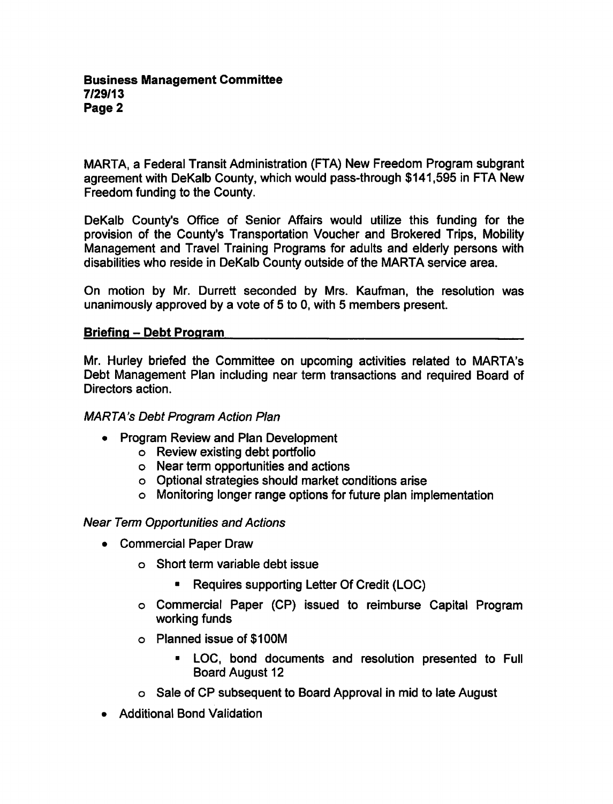MARTA, a Federal Transit Administration (FTA) New Freedom Program subgrant agreement with DeKalb County, which would pass-through \$141,595 in FTA New Freedom funding to the County.

DeKalb County's Office of Senior Affairs would utilize this funding for the provision of the County's Transportation Voucher and Brokered Trips, Mobility Management and Travel Training Programs for adults and elderly persons with disabilities who reside in DeKalb County outside of the MARTA service area.

On motion by Mr. Durrett seconded by Mrs. Kaufman, the resolution was unanimously approved by a vote of 5 to 0, with 5 members present.

### Briefing - Debt Program

Mr. Hurley briefed the Committee on upcoming activities related to MARTA's Debt Management Plan including near term transactions and required Board of Directors action.

# MARTA's Debt Program Action Plan

- $\bullet$ Program Review and Plan Development
	- Review existing debt portfolio
	- Near term opportunities and actions
	- Optional strategies should market conditions arise
	- Monitoring longer range options for future plan implementation

### Near Term Opportunities and Actions

- Commercial Paper Draw
	- Short term variable debt issue
		- $\blacksquare$ Requires supporting Letter Of Credit (LOC)
	- Commercial Paper (CP) issued to reimburse Capital Program working funds
	- o Planned issue of \$100M
		- LOC, bond documents and resolution presented to Full Board August 12
	- Sale of CP subsequent to Board Approval in mid to late August
- Additional Bond Validation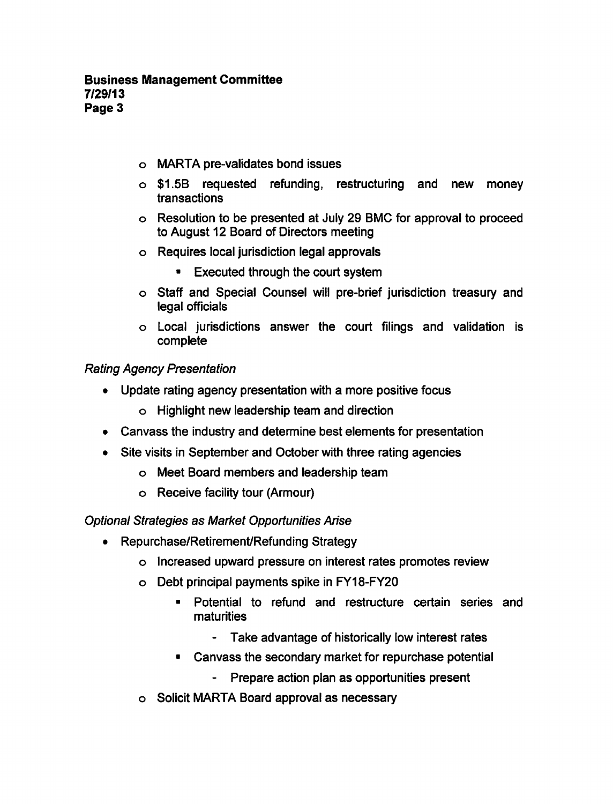- MARTA pre-validates bond issues
- \$1.5B requested refunding, restructuring and new money transactions
- Resolution to be presented at July 29 BMC for approval to proceed to August 12 Board of Directors meeting
- Requires local jurisdiction legal approvals
	- Executed through the court system
- Staff and Special Counsel will pre-brief jurisdiction treasury and legal officials
- Local jurisdictions answer the court filings and validation is complete

# Rating Agency Presentation

- Update rating agency presentation with a more positive focus  $\bullet$ 
	- Highlight new leadership team and direction
- Canvass the industry and determine best elements for presentation  $\bullet$
- Site visits in September and October with three rating agencies  $\bullet$ 
	- Meet Board members and leadership team
	- Receive facility tour (Armour)

## Optional Strategies as Market Opportunities Arise

- Repurchase/Retirement/Refunding Strategy
	- Increased upward pressure on interest rates promotes review
	- Debt principal payments spike in FY18-FY20
		- Potential to refund and restructure certain series and  $\blacksquare$ maturities
			- Take advantage of historically low interest rates
		- $\blacksquare$ Canvass the secondary market for repurchase potential
			- Prepare action plan as opportunities present
	- o Solicit MARTA Board approval as necessary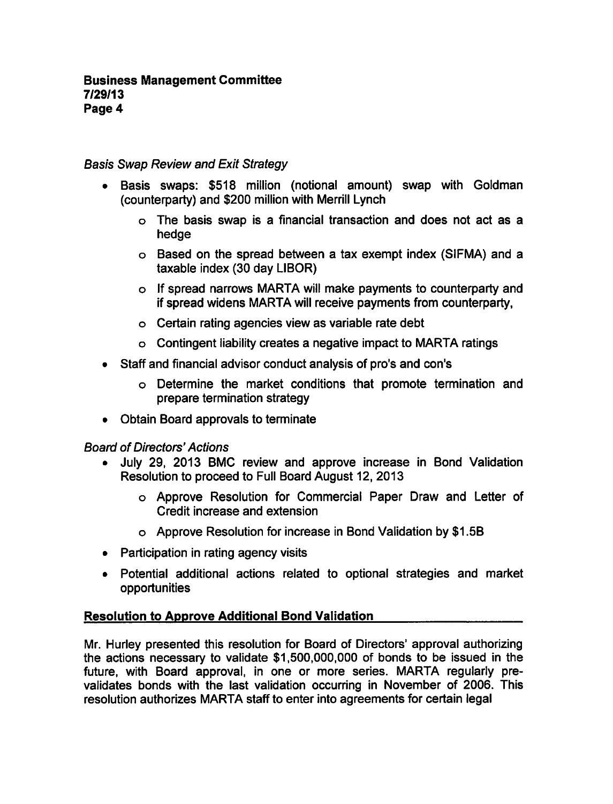# Basis Swap Review and Exit Strategy

- Basis swaps: \$518 million (notional amount) swap with Goldman  $\bullet$ (counterparty) and \$200 million with Merrill Lynch
	- $\circ$  The basis swap is a financial transaction and does not act as a hedge
	- $\circ$  Based on the spread between a tax exempt index (SIFMA) and a taxable index (30 day LIBOR)
	- If spread narrows MARTA will make payments to counterparty and if spread widens MARTA will receive payments from counterparty,
	- Certain rating agencies view as variable rate debt
	- $\circ$  Contingent liability creates a negative impact to MARTA ratings
- Staff and financial advisor conduct analysis of pro's and con's
	- Determine the market conditions that promote termination and prepare termination strategy
- Obtain Board approvals to terminate

## Board of Directors' Actions

- July 29, 2013 BMC review and approve increase in Bond Validation Resolution to proceed to Full Board August 12, 2013
	- o Approve Resolution for Commercial Paper Draw and Letter of Credit increase and extension
	- o Approve Resolution for increase in Bond Validation by \$1.5B
- Participation in rating agency visits
- Potential additional actions related to optional strategies and market opportunities

# Resolution to Approve Additional Bond Validation

Mr. Hurley presented this resolution for Board of Directors' approval authorizing the actions necessary to validate \$1,500,000,000 of bonds to be issued in the future, with Board approval, in one or more series. MARTA regularly prevalidates bonds with the last validation occurring in November of 2006. This resolution authorizes MARTA staff to enter into agreements for certain legal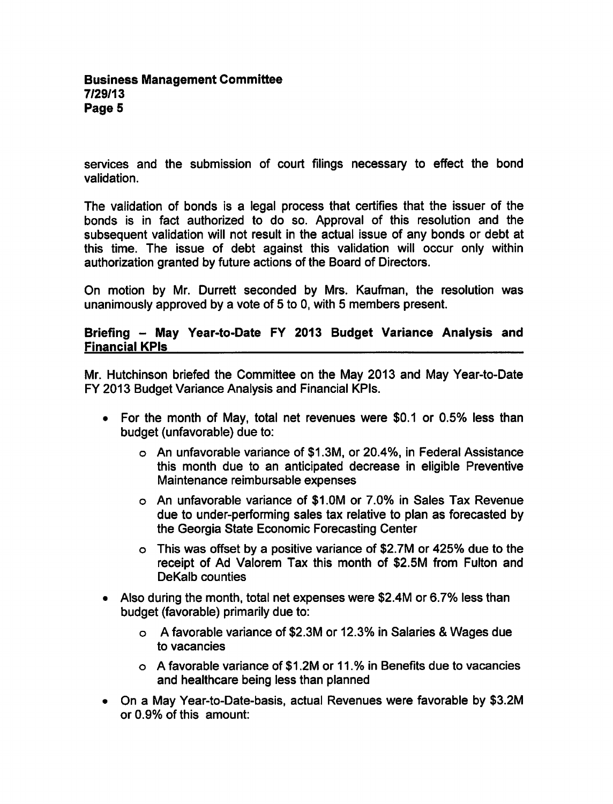services and the submission of court filings necessary to effect the bond validation.

The validation of bonds is a legal process that certifies that the issuer of the bonds is in fact authorized to do so. Approval of this resolution and the subsequent validation will not result in the actual issue of any bonds or debt at this time. The issue of debt against this validation will occur only within authorization granted by future actions of the Board of Directors.

On motion by Mr. Durrett seconded by Mrs. Kaufman, the resolution was unanimously approved by a vote of 5 to 0, with 5 members present.

## Briefing - May Year-to-Date FY 2013 Budget Variance Analysis and Financial KPIs

Mr. Hutchinson briefed the Committee on the May 2013 and May Year-to-Date FY 2013 Budget Variance Analysis and Financial KPIs.

- For the month of May, total net revenues were \$0.1 or 0.5% less than budget (unfavorable) due to:
	- An unfavorable variance of \$1.3M, or 20.4%, in Federal Assistance this month due to an anticipated decrease in eligible Preventive Maintenance reimbursable expenses
	- An unfavorable variance of \$1.0M or 7.0% in Sales Tax Revenue due to under-performing sales tax relative to plan as forecasted by the Georgia State Economic Forecasting Center
	- $\circ$  This was offset by a positive variance of \$2.7M or 425% due to the receipt of Ad Valorem Tax this month of \$2.5M from Fulton and DeKalb counties
- Also during the month, total net expenses were \$2.4M or 6.7% less than budget (favorable) primarily due to:
	- o A favorable variance of \$2.3M or 12.3% in Salaries & Wages due to vacancies
	- favorable variance of \$1.2M or 11.% in Benefits due to vacancies and healthcare being less than planned
- On a May Year-to-Date-basis, actual Revenues were favorable by \$3.2M or 0.9% of this amount: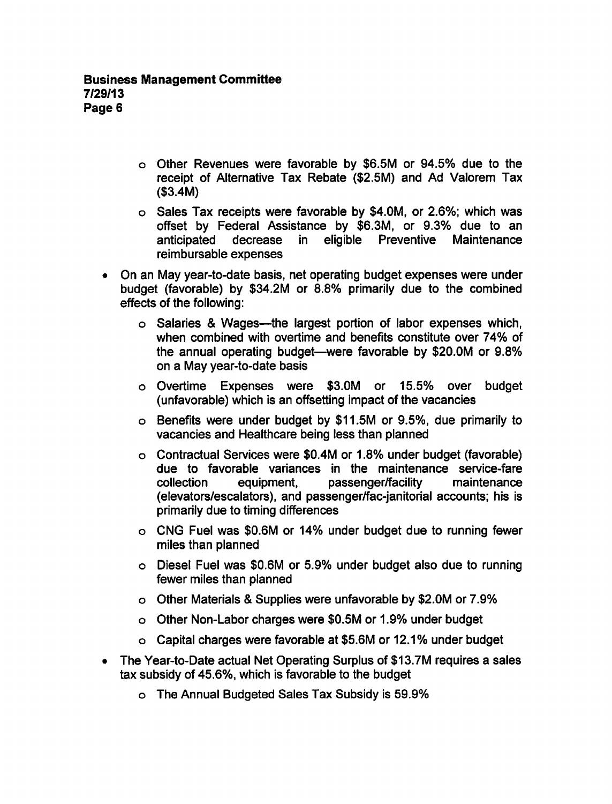- Other Revenues were favorable by \$6.5M or 94.5% due to the receipt of Alternative Tax Rebate (\$2.5M) and Ad Valorem Tax (\$3.4M)
- $\circ$  Sales Tax receipts were favorable by \$4.0M, or 2.6%; which was offset by Federal Assistance by \$6.3M, or 9.3% due to an anticipated decrease in eligible Preventive Maintenance reimbursable expenses
- On an May year-to-date basis, net operating budget expenses were under  $\bullet$ budget (favorable) by \$34.2M or 8.8% primarily due to the combined effects of the following:
	- o Salaries & Wages—the largest portion of labor expenses which, when combined with overtime and benefits constitute over 74% of the annual operating budget—were favorable by \$20.OM or 9.8% on a May year-to-date basis
	- Overtime Expenses were \$3.0M or 15.5% over budget (unfavorable) which is an offsetting impact of the vacancies
	- Benefits were under budget by \$11.5M or 9.5%, due primarily to vacancies and Healthcare being less than planned
	- Contractual Services were \$0.4M or 1.8% under budget (favorable) due to favorable variances in the maintenance service-fare collection equipment, passenger/facility maintenance (elevators/escalators), and passenger/fac-janitorial accounts; his is primarily due to timing differences
	- CNG Fuel was \$0.6M or 14% under budget due to running fewer miles than planned
	- Diesel Fuel was \$0.6M or 5.9% under budget also due to running fewer miles than planned
	- o Other Materials & Supplies were unfavorable by \$2.0M or 7.9%
	- Other Non-Labor charges were \$0.5M or 1.9% under budget
	- Capital charges were favorable at \$5.6M or 12.1% under budget
- The Year-to-Date actual Net Operating Surplus of \$13.7M requires a sales  $\bullet$ tax subsidy of 45.6%, which is favorable to the budget
	- The Annual Budgeted Sales Tax Subsidy is 59.9%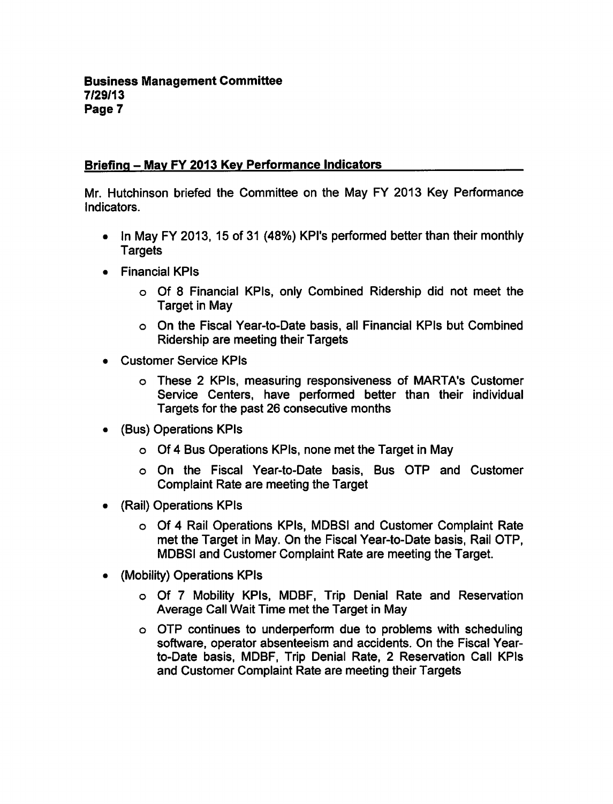# Briefing – May FY 2013 Key Performance Indicators

Mr. Hutchinson briefed the Committee on the May FY 2013 Key Performance Indicators.

- In May FY 2013, 15 of 31 (48%) KPI's performed better than their monthly **Targets**
- Financial KPIs
	- o Of 8 Financial KPIs, only Combined Ridership did not meet the Target in May
	- On the Fiscal Year-to-Date basis, all Financial KPIs but Combined Ridership are meeting their Targets
- Customer Service KPIs  $\bullet$ 
	- o These 2 KPIs, measuring responsiveness of MARTA's Customer Service Centers, have performed better than their individual Targets for the past 26 consecutive months
- (Bus) Operations KPIs
	- o Of 4 Bus Operations KPIs, none met the Target in May
	- On the Fiscal Year-to-Date basis, Bus OTP and Customer Complaint Rate are meeting the Target
- (Rail) Operations KPIs  $\bullet$ 
	- o Of 4 Rail Operations KPIs, MDBSI and Customer Complaint Rate met the Target in May. On the Fiscal Year-to-Date basis, Rail OTP, MDBSI and Customer Complaint Rate are meeting the Target.
- (Mobility) Operations KPIs  $\bullet$ 
	- o Of 7 Mobility KPIs, MDBF, Trip Denial Rate and Reservation Average Call Wait Time met the Target in May
	- OTP continues to underperform due to problems with scheduling software, operator absenteeism and accidents. On the Fiscal Yearto-Date basis, MDBF, Trip Denial Rate, 2 Reservation Call KPIs and Customer Complaint Rate are meeting their Targets